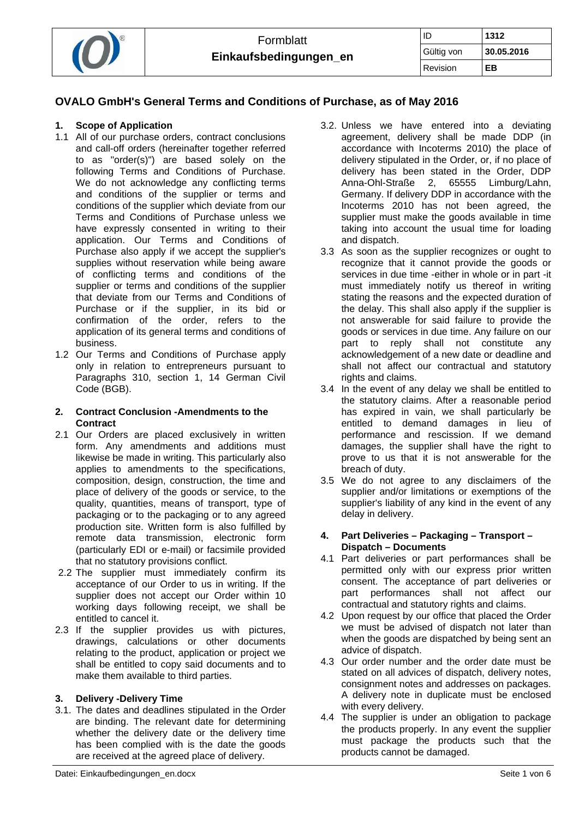

## **OVALO GmbH's General Terms and Conditions of Purchase, as of May 2016**

#### **1. Scope of Application**

- 1.1 All of our purchase orders, contract conclusions and call-off orders (hereinafter together referred to as "order(s)") are based solely on the following Terms and Conditions of Purchase. We do not acknowledge any conflicting terms and conditions of the supplier or terms and conditions of the supplier which deviate from our Terms and Conditions of Purchase unless we have expressly consented in writing to their application. Our Terms and Conditions of Purchase also apply if we accept the supplier's supplies without reservation while being aware of conflicting terms and conditions of the supplier or terms and conditions of the supplier that deviate from our Terms and Conditions of Purchase or if the supplier, in its bid or confirmation of the order, refers to the application of its general terms and conditions of business.
- 1.2 Our Terms and Conditions of Purchase apply only in relation to entrepreneurs pursuant to Paragraphs 310, section 1, 14 German Civil Code (BGB).

#### **2. Contract Conclusion -Amendments to the Contract**

- 2.1 Our Orders are placed exclusively in written form. Any amendments and additions must likewise be made in writing. This particularly also applies to amendments to the specifications, composition, design, construction, the time and place of delivery of the goods or service, to the quality, quantities, means of transport, type of packaging or to the packaging or to any agreed production site. Written form is also fulfilled by remote data transmission, electronic form (particularly EDI or e-mail) or facsimile provided that no statutory provisions conflict.
- 2.2 The supplier must immediately confirm its acceptance of our Order to us in writing. If the supplier does not accept our Order within 10 working days following receipt, we shall be entitled to cancel it.
- 2.3 If the supplier provides us with pictures, drawings, calculations or other documents relating to the product, application or project we shall be entitled to copy said documents and to make them available to third parties.

## **3. Delivery -Delivery Time**

3.1. The dates and deadlines stipulated in the Order are binding. The relevant date for determining whether the delivery date or the delivery time has been complied with is the date the goods are received at the agreed place of delivery.

- 3.2. Unless we have entered into a deviating agreement, delivery shall be made DDP (in accordance with Incoterms 2010) the place of delivery stipulated in the Order, or, if no place of delivery has been stated in the Order, DDP Anna-Ohl-Straße 2, 65555 Limburg/Lahn, Germany. If delivery DDP in accordance with the Incoterms 2010 has not been agreed, the supplier must make the goods available in time taking into account the usual time for loading and dispatch.
- 3.3 As soon as the supplier recognizes or ought to recognize that it cannot provide the goods or services in due time -either in whole or in part -it must immediately notify us thereof in writing stating the reasons and the expected duration of the delay. This shall also apply if the supplier is not answerable for said failure to provide the goods or services in due time. Any failure on our part to reply shall not constitute any acknowledgement of a new date or deadline and shall not affect our contractual and statutory rights and claims.
- 3.4 In the event of any delay we shall be entitled to the statutory claims. After a reasonable period has expired in vain, we shall particularly be entitled to demand damages in lieu of performance and rescission. If we demand damages, the supplier shall have the right to prove to us that it is not answerable for the breach of duty.
- 3.5 We do not agree to any disclaimers of the supplier and/or limitations or exemptions of the supplier's liability of any kind in the event of any delay in delivery.

#### **4. Part Deliveries – Packaging – Transport – Dispatch – Documents**

- 4.1 Part deliveries or part performances shall be permitted only with our express prior written consent. The acceptance of part deliveries or part performances shall not affect our contractual and statutory rights and claims.
- 4.2 Upon request by our office that placed the Order we must be advised of dispatch not later than when the goods are dispatched by being sent an advice of dispatch.
- 4.3 Our order number and the order date must be stated on all advices of dispatch, delivery notes, consignment notes and addresses on packages. A delivery note in duplicate must be enclosed with every delivery.
- 4.4 The supplier is under an obligation to package the products properly. In any event the supplier must package the products such that the products cannot be damaged.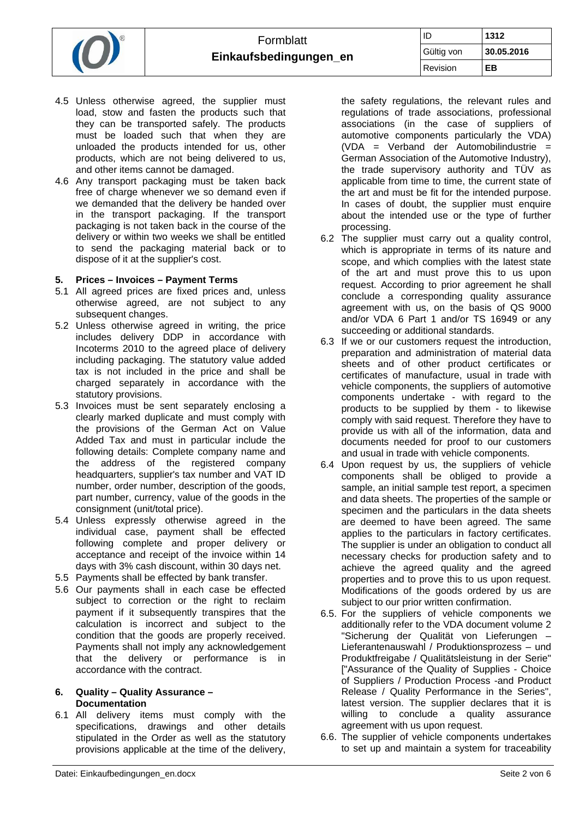

- 4.5 Unless otherwise agreed, the supplier must load, stow and fasten the products such that they can be transported safely. The products must be loaded such that when they are unloaded the products intended for us, other products, which are not being delivered to us, and other items cannot be damaged.
- 4.6 Any transport packaging must be taken back free of charge whenever we so demand even if we demanded that the delivery be handed over in the transport packaging. If the transport packaging is not taken back in the course of the delivery or within two weeks we shall be entitled to send the packaging material back or to dispose of it at the supplier's cost.

### **5. Prices – Invoices – Payment Terms**

- 5.1 All agreed prices are fixed prices and, unless otherwise agreed, are not subject to any subsequent changes.
- 5.2 Unless otherwise agreed in writing, the price includes delivery DDP in accordance with Incoterms 2010 to the agreed place of delivery including packaging. The statutory value added tax is not included in the price and shall be charged separately in accordance with the statutory provisions.
- 5.3 Invoices must be sent separately enclosing a clearly marked duplicate and must comply with the provisions of the German Act on Value Added Tax and must in particular include the following details: Complete company name and the address of the registered company headquarters, supplier's tax number and VAT ID number, order number, description of the goods, part number, currency, value of the goods in the consignment (unit/total price).
- 5.4 Unless expressly otherwise agreed in the individual case, payment shall be effected following complete and proper delivery or acceptance and receipt of the invoice within 14 days with 3% cash discount, within 30 days net.
- 5.5 Payments shall be effected by bank transfer.
- 5.6 Our payments shall in each case be effected subject to correction or the right to reclaim payment if it subsequently transpires that the calculation is incorrect and subject to the condition that the goods are properly received. Payments shall not imply any acknowledgement that the delivery or performance is in accordance with the contract.

#### **6. Quality – Quality Assurance – Documentation**

6.1 All delivery items must comply with the specifications, drawings and other details stipulated in the Order as well as the statutory provisions applicable at the time of the delivery,

the safety regulations, the relevant rules and regulations of trade associations, professional associations (in the case of suppliers of automotive components particularly the VDA) (VDA = Verband der Automobilindustrie = German Association of the Automotive Industry), the trade supervisory authority and TÜV as applicable from time to time, the current state of the art and must be fit for the intended purpose. In cases of doubt, the supplier must enquire about the intended use or the type of further processing.

- 6.2 The supplier must carry out a quality control, which is appropriate in terms of its nature and scope, and which complies with the latest state of the art and must prove this to us upon request. According to prior agreement he shall conclude a corresponding quality assurance agreement with us, on the basis of QS 9000 and/or VDA 6 Part 1 and/or TS 16949 or any succeeding or additional standards.
- 6.3 If we or our customers request the introduction, preparation and administration of material data sheets and of other product certificates or certificates of manufacture, usual in trade with vehicle components, the suppliers of automotive components undertake - with regard to the products to be supplied by them - to likewise comply with said request. Therefore they have to provide us with all of the information, data and documents needed for proof to our customers and usual in trade with vehicle components.
- 6.4 Upon request by us, the suppliers of vehicle components shall be obliged to provide a sample, an initial sample test report, a specimen and data sheets. The properties of the sample or specimen and the particulars in the data sheets are deemed to have been agreed. The same applies to the particulars in factory certificates. The supplier is under an obligation to conduct all necessary checks for production safety and to achieve the agreed quality and the agreed properties and to prove this to us upon request. Modifications of the goods ordered by us are subject to our prior written confirmation.
- 6.5. For the suppliers of vehicle components we additionally refer to the VDA document volume 2 "Sicherung der Qualität von Lieferungen – Lieferantenauswahl / Produktionsprozess – und Produktfreigabe / Qualitätsleistung in der Serie" ["Assurance of the Quality of Supplies - Choice of Suppliers / Production Process -and Product Release / Quality Performance in the Series", latest version. The supplier declares that it is willing to conclude a quality assurance agreement with us upon request.
- 6.6. The supplier of vehicle components undertakes to set up and maintain a system for traceability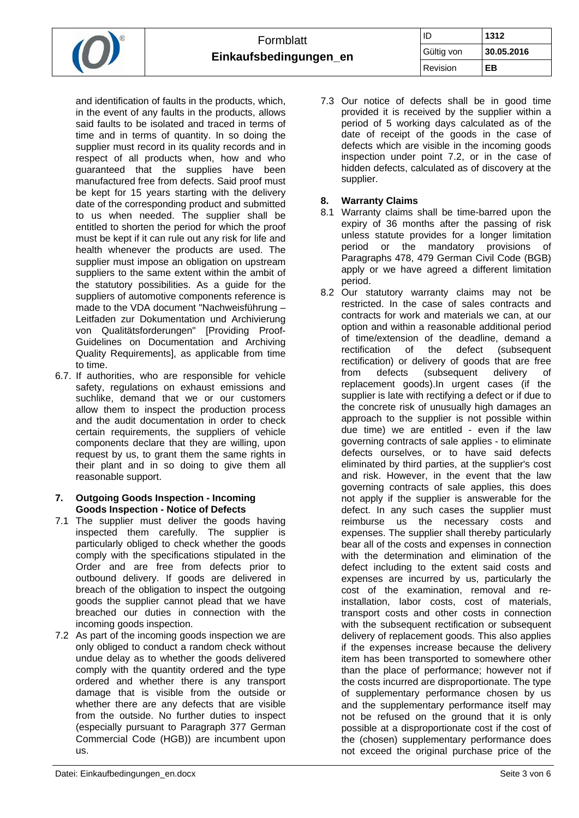| $\bigcap$ | Formblatt<br>Einkaufsbedingungen_en |            | 1312       |
|-----------|-------------------------------------|------------|------------|
|           |                                     | Gültig von | 30.05.2016 |
|           |                                     | Revision   | ЕB         |

and identification of faults in the products, which, in the event of any faults in the products, allows said faults to be isolated and traced in terms of time and in terms of quantity. In so doing the supplier must record in its quality records and in respect of all products when, how and who guaranteed that the supplies have been manufactured free from defects. Said proof must be kept for 15 years starting with the delivery date of the corresponding product and submitted to us when needed. The supplier shall be entitled to shorten the period for which the proof must be kept if it can rule out any risk for life and health whenever the products are used. The supplier must impose an obligation on upstream suppliers to the same extent within the ambit of the statutory possibilities. As a guide for the suppliers of automotive components reference is made to the VDA document "Nachweisführung – Leitfaden zur Dokumentation und Archivierung von Qualitätsforderungen" [Providing Proof-Guidelines on Documentation and Archiving Quality Requirements], as applicable from time to time.

6.7. If authorities, who are responsible for vehicle safety, regulations on exhaust emissions and suchlike, demand that we or our customers allow them to inspect the production process and the audit documentation in order to check certain requirements, the suppliers of vehicle components declare that they are willing, upon request by us, to grant them the same rights in their plant and in so doing to give them all reasonable support.

### **7. Outgoing Goods Inspection - Incoming Goods Inspection - Notice of Defects**

- 7.1 The supplier must deliver the goods having inspected them carefully. The supplier is particularly obliged to check whether the goods comply with the specifications stipulated in the Order and are free from defects prior to outbound delivery. If goods are delivered in breach of the obligation to inspect the outgoing goods the supplier cannot plead that we have breached our duties in connection with the incoming goods inspection.
- 7.2 As part of the incoming goods inspection we are only obliged to conduct a random check without undue delay as to whether the goods delivered comply with the quantity ordered and the type ordered and whether there is any transport damage that is visible from the outside or whether there are any defects that are visible from the outside. No further duties to inspect (especially pursuant to Paragraph 377 German Commercial Code (HGB)) are incumbent upon us.

7.3 Our notice of defects shall be in good time provided it is received by the supplier within a period of 5 working days calculated as of the date of receipt of the goods in the case of defects which are visible in the incoming goods inspection under point 7.2, or in the case of hidden defects, calculated as of discovery at the supplier.

# **8. Warranty Claims**

- 8.1 Warranty claims shall be time-barred upon the expiry of 36 months after the passing of risk unless statute provides for a longer limitation period or the mandatory provisions of Paragraphs 478, 479 German Civil Code (BGB) apply or we have agreed a different limitation period.
- 8.2 Our statutory warranty claims may not be restricted. In the case of sales contracts and contracts for work and materials we can, at our option and within a reasonable additional period of time/extension of the deadline, demand a rectification of the defect (subsequent rectification) or delivery of goods that are free from defects (subsequent delivery of replacement goods).In urgent cases (if the supplier is late with rectifying a defect or if due to the concrete risk of unusually high damages an approach to the supplier is not possible within due time) we are entitled - even if the law governing contracts of sale applies - to eliminate defects ourselves, or to have said defects eliminated by third parties, at the supplier's cost and risk. However, in the event that the law governing contracts of sale applies, this does not apply if the supplier is answerable for the defect. In any such cases the supplier must reimburse us the necessary costs and expenses. The supplier shall thereby particularly bear all of the costs and expenses in connection with the determination and elimination of the defect including to the extent said costs and expenses are incurred by us, particularly the cost of the examination, removal and reinstallation, labor costs, cost of materials, transport costs and other costs in connection with the subsequent rectification or subsequent delivery of replacement goods. This also applies if the expenses increase because the delivery item has been transported to somewhere other than the place of performance; however not if the costs incurred are disproportionate. The type of supplementary performance chosen by us and the supplementary performance itself may not be refused on the ground that it is only possible at a disproportionate cost if the cost of the (chosen) supplementary performance does not exceed the original purchase price of the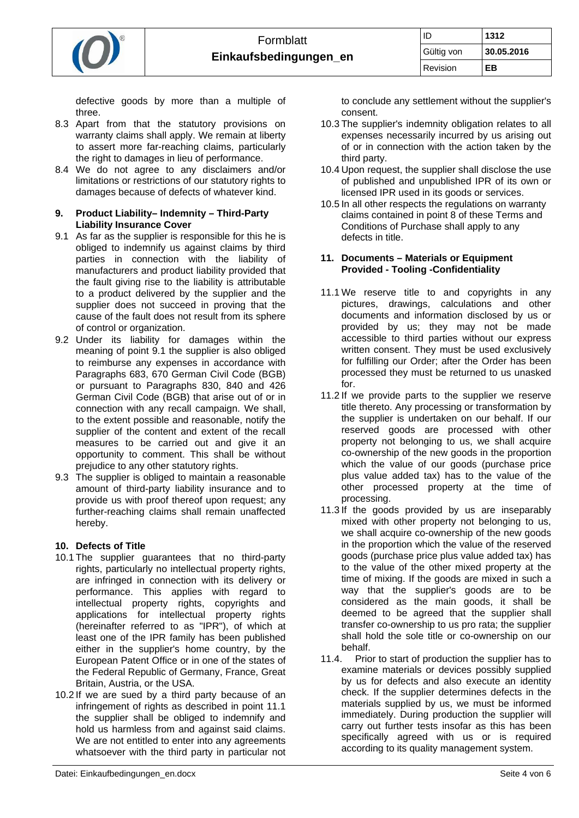

defective goods by more than a multiple of three.

- 8.3 Apart from that the statutory provisions on warranty claims shall apply. We remain at liberty to assert more far-reaching claims, particularly the right to damages in lieu of performance.
- 8.4 We do not agree to any disclaimers and/or limitations or restrictions of our statutory rights to damages because of defects of whatever kind.

## **9. Product Liability– Indemnity – Third-Party Liability Insurance Cover**

- 9.1 As far as the supplier is responsible for this he is obliged to indemnify us against claims by third parties in connection with the liability of manufacturers and product liability provided that the fault giving rise to the liability is attributable to a product delivered by the supplier and the supplier does not succeed in proving that the cause of the fault does not result from its sphere of control or organization.
- 9.2 Under its liability for damages within the meaning of point 9.1 the supplier is also obliged to reimburse any expenses in accordance with Paragraphs 683, 670 German Civil Code (BGB) or pursuant to Paragraphs 830, 840 and 426 German Civil Code (BGB) that arise out of or in connection with any recall campaign. We shall, to the extent possible and reasonable, notify the supplier of the content and extent of the recall measures to be carried out and give it an opportunity to comment. This shall be without prejudice to any other statutory rights.
- 9.3 The supplier is obliged to maintain a reasonable amount of third-party liability insurance and to provide us with proof thereof upon request; any further-reaching claims shall remain unaffected hereby.

## **10. Defects of Title**

- 10.1 The supplier guarantees that no third-party rights, particularly no intellectual property rights, are infringed in connection with its delivery or performance. This applies with regard to intellectual property rights, copyrights and applications for intellectual property rights (hereinafter referred to as "IPR"), of which at least one of the IPR family has been published either in the supplier's home country, by the European Patent Office or in one of the states of the Federal Republic of Germany, France, Great Britain, Austria, or the USA.
- 10.2 If we are sued by a third party because of an infringement of rights as described in point 11.1 the supplier shall be obliged to indemnify and hold us harmless from and against said claims. We are not entitled to enter into any agreements whatsoever with the third party in particular not

to conclude any settlement without the supplier's consent.

- 10.3 The supplier's indemnity obligation relates to all expenses necessarily incurred by us arising out of or in connection with the action taken by the third party.
- 10.4 Upon request, the supplier shall disclose the use of published and unpublished IPR of its own or licensed IPR used in its goods or services.
- 10.5 In all other respects the regulations on warranty claims contained in point 8 of these Terms and Conditions of Purchase shall apply to any defects in title.

## **11. Documents – Materials or Equipment Provided - Tooling -Confidentiality**

- 11.1 We reserve title to and copyrights in any pictures, drawings, calculations and other documents and information disclosed by us or provided by us; they may not be made accessible to third parties without our express written consent. They must be used exclusively for fulfilling our Order; after the Order has been processed they must be returned to us unasked for.
- 11.2 If we provide parts to the supplier we reserve title thereto. Any processing or transformation by the supplier is undertaken on our behalf. If our reserved goods are processed with other property not belonging to us, we shall acquire co-ownership of the new goods in the proportion which the value of our goods (purchase price plus value added tax) has to the value of the other processed property at the time of processing.
- 11.3 If the goods provided by us are inseparably mixed with other property not belonging to us, we shall acquire co-ownership of the new goods in the proportion which the value of the reserved goods (purchase price plus value added tax) has to the value of the other mixed property at the time of mixing. If the goods are mixed in such a way that the supplier's goods are to be considered as the main goods, it shall be deemed to be agreed that the supplier shall transfer co-ownership to us pro rata; the supplier shall hold the sole title or co-ownership on our behalf.<br>11.4. Pric
- Prior to start of production the supplier has to examine materials or devices possibly supplied by us for defects and also execute an identity check. If the supplier determines defects in the materials supplied by us, we must be informed immediately. During production the supplier will carry out further tests insofar as this has been specifically agreed with us or is required according to its quality management system.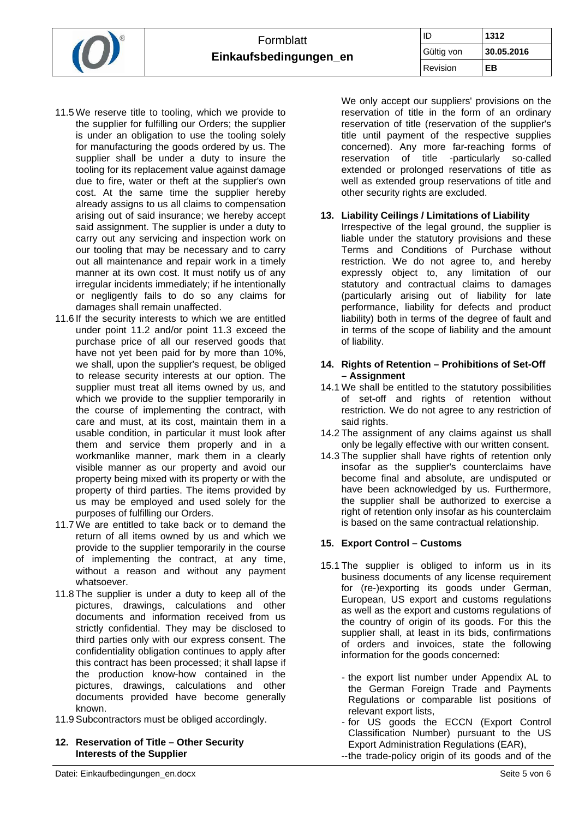

- 11.5 We reserve title to tooling, which we provide to the supplier for fulfilling our Orders; the supplier is under an obligation to use the tooling solely for manufacturing the goods ordered by us. The supplier shall be under a duty to insure the tooling for its replacement value against damage due to fire, water or theft at the supplier's own cost. At the same time the supplier hereby already assigns to us all claims to compensation arising out of said insurance; we hereby accept said assignment. The supplier is under a duty to carry out any servicing and inspection work on our tooling that may be necessary and to carry out all maintenance and repair work in a timely manner at its own cost. It must notify us of any irregular incidents immediately; if he intentionally or negligently fails to do so any claims for damages shall remain unaffected.
- 11.6 If the security interests to which we are entitled under point 11.2 and/or point 11.3 exceed the purchase price of all our reserved goods that have not yet been paid for by more than 10%, we shall, upon the supplier's request, be obliged to release security interests at our option. The supplier must treat all items owned by us, and which we provide to the supplier temporarily in the course of implementing the contract, with care and must, at its cost, maintain them in a usable condition, in particular it must look after them and service them properly and in a workmanlike manner, mark them in a clearly visible manner as our property and avoid our property being mixed with its property or with the property of third parties. The items provided by us may be employed and used solely for the purposes of fulfilling our Orders.
- 11.7 We are entitled to take back or to demand the return of all items owned by us and which we provide to the supplier temporarily in the course of implementing the contract, at any time, without a reason and without any payment whatsoever.
- 11.8 The supplier is under a duty to keep all of the pictures, drawings, calculations and other documents and information received from us strictly confidential. They may be disclosed to third parties only with our express consent. The confidentiality obligation continues to apply after this contract has been processed; it shall lapse if the production know-how contained in the pictures, drawings, calculations and other documents provided have become generally known.
- 11.9 Subcontractors must be obliged accordingly.
- **12. Reservation of Title Other Security Interests of the Supplier**

We only accept our suppliers' provisions on the reservation of title in the form of an ordinary reservation of title (reservation of the supplier's title until payment of the respective supplies concerned). Any more far-reaching forms of reservation of title -particularly so-called extended or prolonged reservations of title as well as extended group reservations of title and other security rights are excluded.

## **13. Liability Ceilings / Limitations of Liability**

Irrespective of the legal ground, the supplier is liable under the statutory provisions and these Terms and Conditions of Purchase without restriction. We do not agree to, and hereby expressly object to, any limitation of our statutory and contractual claims to damages (particularly arising out of liability for late performance, liability for defects and product liability) both in terms of the degree of fault and in terms of the scope of liability and the amount of liability.

## **14. Rights of Retention – Prohibitions of Set-Off – Assignment**

- 14.1 We shall be entitled to the statutory possibilities of set-off and rights of retention without restriction. We do not agree to any restriction of said rights.
- 14.2 The assignment of any claims against us shall only be legally effective with our written consent.
- 14.3 The supplier shall have rights of retention only insofar as the supplier's counterclaims have become final and absolute, are undisputed or have been acknowledged by us. Furthermore, the supplier shall be authorized to exercise a right of retention only insofar as his counterclaim is based on the same contractual relationship.

# **15. Export Control – Customs**

- 15.1 The supplier is obliged to inform us in its business documents of any license requirement for (re-)exporting its goods under German, European, US export and customs regulations as well as the export and customs regulations of the country of origin of its goods. For this the supplier shall, at least in its bids, confirmations of orders and invoices, state the following information for the goods concerned:
	- the export list number under Appendix AL to the German Foreign Trade and Payments Regulations or comparable list positions of relevant export lists,
	- for US goods the ECCN (Export Control Classification Number) pursuant to the US Export Administration Regulations (EAR),
	- -- the trade-policy origin of its goods and of the